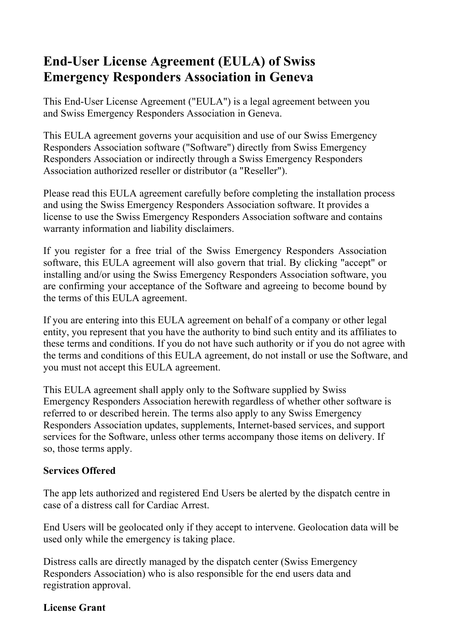# **End-User License Agreement (EULA) of Swiss Emergency Responders Association in Geneva**

This End-User License Agreement ("EULA") is a legal agreement between you and Swiss Emergency Responders Association in Geneva.

This EULA agreement governs your acquisition and use of our Swiss Emergency Responders Association software ("Software") directly from Swiss Emergency Responders Association or indirectly through a Swiss Emergency Responders Association authorized reseller or distributor (a "Reseller").

Please read this EULA agreement carefully before completing the installation process and using the Swiss Emergency Responders Association software. It provides a license to use the Swiss Emergency Responders Association software and contains warranty information and liability disclaimers.

If you register for a free trial of the Swiss Emergency Responders Association software, this EULA agreement will also govern that trial. By clicking "accept" or installing and/or using the Swiss Emergency Responders Association software, you are confirming your acceptance of the Software and agreeing to become bound by the terms of this EULA agreement.

If you are entering into this EULA agreement on behalf of a company or other legal entity, you represent that you have the authority to bind such entity and its affiliates to these terms and conditions. If you do not have such authority or if you do not agree with the terms and conditions of this EULA agreement, do not install or use the Software, and you must not accept this EULA agreement.

This EULA agreement shall apply only to the Software supplied by Swiss Emergency Responders Association herewith regardless of whether other software is referred to or described herein. The terms also apply to any Swiss Emergency Responders Association updates, supplements, Internet-based services, and support services for the Software, unless other terms accompany those items on delivery. If so, those terms apply.

#### **Services Offered**

The app lets authorized and registered End Users be alerted by the dispatch centre in case of a distress call for Cardiac Arrest.

End Users will be geolocated only if they accept to intervene. Geolocation data will be used only while the emergency is taking place.

Distress calls are directly managed by the dispatch center (Swiss Emergency Responders Association) who is also responsible for the end users data and registration approval.

#### **License Grant**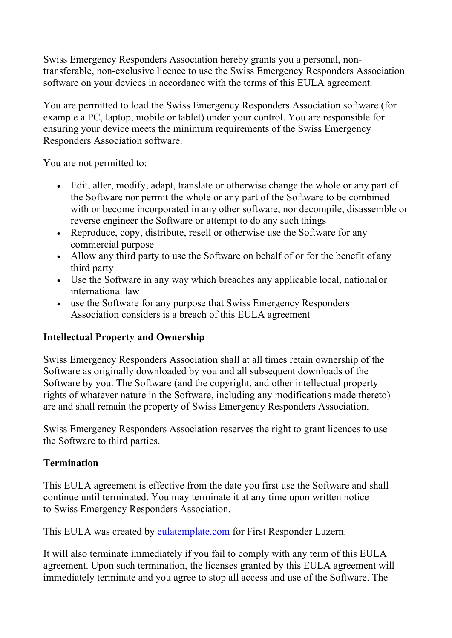Swiss Emergency Responders Association hereby grants you a personal, nontransferable, non-exclusive licence to use the Swiss Emergency Responders Association software on your devices in accordance with the terms of this EULA agreement.

You are permitted to load the Swiss Emergency Responders Association software (for example a PC, laptop, mobile or tablet) under your control. You are responsible for ensuring your device meets the minimum requirements of the Swiss Emergency Responders Association software.

You are not permitted to:

- Edit, alter, modify, adapt, translate or otherwise change the whole or any part of the Software nor permit the whole or any part of the Software to be combined with or become incorporated in any other software, nor decompile, disassemble or reverse engineer the Software or attempt to do any such things
- Reproduce, copy, distribute, resell or otherwise use the Software for any commercial purpose
- Allow any third party to use the Software on behalf of or for the benefit of any third party
- Use the Software in any way which breaches any applicable local, national or international law
- use the Software for any purpose that Swiss Emergency Responders Association considers is a breach of this EULA agreement

## **Intellectual Property and Ownership**

Swiss Emergency Responders Association shall at all times retain ownership of the Software as originally downloaded by you and all subsequent downloads of the Software by you. The Software (and the copyright, and other intellectual property rights of whatever nature in the Software, including any modifications made thereto) are and shall remain the property of Swiss Emergency Responders Association.

Swiss Emergency Responders Association reserves the right to grant licences to use the Software to third parties.

## **Termination**

This EULA agreement is effective from the date you first use the Software and shall continue until terminated. You may terminate it at any time upon written notice to Swiss Emergency Responders Association.

This EULA was created by eulatemplate.com for First Responder Luzern.

It will also terminate immediately if you fail to comply with any term of this EULA agreement. Upon such termination, the licenses granted by this EULA agreement will immediately terminate and you agree to stop all access and use of the Software. The